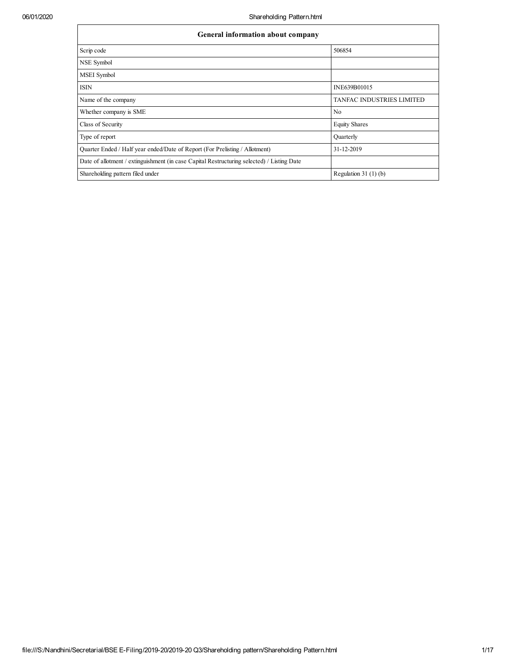| General information about company                                                          |                                  |  |  |  |  |  |
|--------------------------------------------------------------------------------------------|----------------------------------|--|--|--|--|--|
| Scrip code                                                                                 | 506854                           |  |  |  |  |  |
| NSE Symbol                                                                                 |                                  |  |  |  |  |  |
| <b>MSEI</b> Symbol                                                                         |                                  |  |  |  |  |  |
| <b>ISIN</b>                                                                                | INE639B01015                     |  |  |  |  |  |
| Name of the company                                                                        | <b>TANFAC INDUSTRIES LIMITED</b> |  |  |  |  |  |
| Whether company is SME                                                                     | N <sub>0</sub>                   |  |  |  |  |  |
| Class of Security                                                                          | <b>Equity Shares</b>             |  |  |  |  |  |
| Type of report                                                                             | Quarterly                        |  |  |  |  |  |
| Quarter Ended / Half year ended/Date of Report (For Prelisting / Allotment)                | 31-12-2019                       |  |  |  |  |  |
| Date of allotment / extinguishment (in case Capital Restructuring selected) / Listing Date |                                  |  |  |  |  |  |
| Shareholding pattern filed under                                                           | Regulation $31(1)(b)$            |  |  |  |  |  |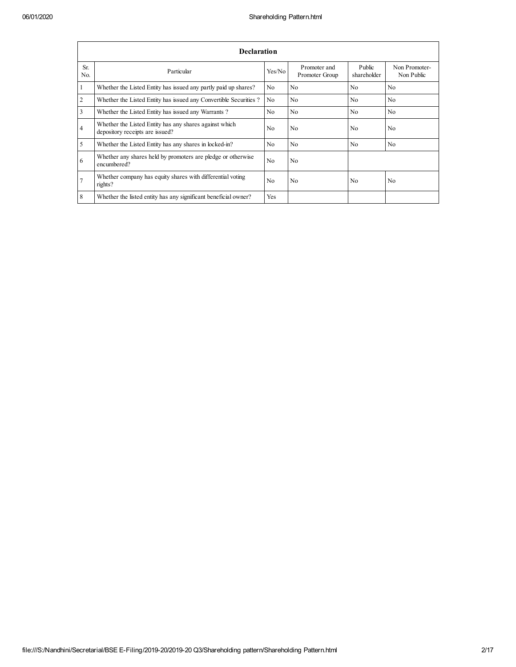|                         | Declaration                                                                               |                |                                |                       |                             |  |  |  |  |  |
|-------------------------|-------------------------------------------------------------------------------------------|----------------|--------------------------------|-----------------------|-----------------------------|--|--|--|--|--|
| Sr.<br>N <sub>0</sub>   | Particular                                                                                | Yes/No         | Promoter and<br>Promoter Group | Public<br>shareholder | Non Promoter-<br>Non Public |  |  |  |  |  |
| 1                       | Whether the Listed Entity has issued any partly paid up shares?                           | N <sub>0</sub> | N <sub>0</sub>                 | N <sub>0</sub>        | N <sub>0</sub>              |  |  |  |  |  |
| $\overline{2}$          | Whether the Listed Entity has issued any Convertible Securities?                          | N <sub>0</sub> | N <sub>0</sub>                 | N <sub>0</sub>        | N <sub>0</sub>              |  |  |  |  |  |
| $\overline{\mathbf{3}}$ | Whether the Listed Entity has issued any Warrants?                                        | No             | N <sub>0</sub>                 | N <sub>0</sub>        | N <sub>0</sub>              |  |  |  |  |  |
| $\overline{4}$          | Whether the Listed Entity has any shares against which<br>depository receipts are issued? | No             | N <sub>0</sub>                 | N <sub>0</sub>        | N <sub>0</sub>              |  |  |  |  |  |
| 5                       | Whether the Listed Entity has any shares in locked-in?                                    | N <sub>0</sub> | N <sub>0</sub>                 | N <sub>0</sub>        | N <sub>0</sub>              |  |  |  |  |  |
| 6                       | Whether any shares held by promoters are pledge or otherwise<br>encumbered?               | N <sub>0</sub> | N <sub>0</sub>                 |                       |                             |  |  |  |  |  |
| $\overline{7}$          | Whether company has equity shares with differential voting<br>rights?                     | N <sub>0</sub> | N <sub>0</sub>                 | N <sub>0</sub>        | N <sub>0</sub>              |  |  |  |  |  |
| 8                       | Whether the listed entity has any significant beneficial owner?                           | Yes            |                                |                       |                             |  |  |  |  |  |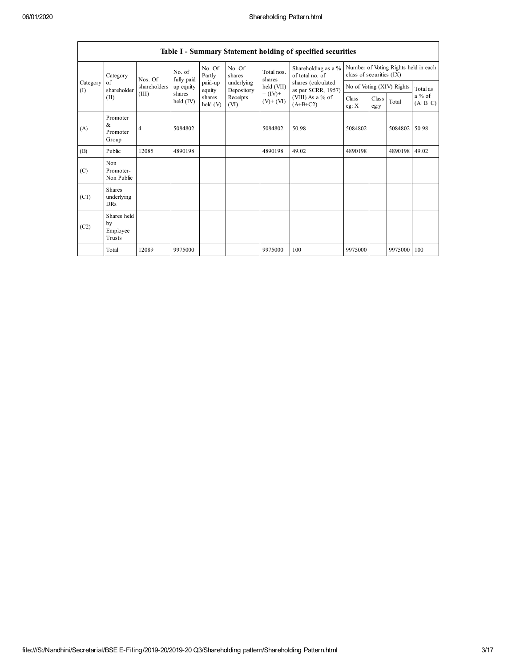|                                                          | Table 1 - Summary Statement holding of specified securities |              |                       |                      |                          |                              |                                                                                                                      |                                                                  |               |             |                     |
|----------------------------------------------------------|-------------------------------------------------------------|--------------|-----------------------|----------------------|--------------------------|------------------------------|----------------------------------------------------------------------------------------------------------------------|------------------------------------------------------------------|---------------|-------------|---------------------|
| Category<br>Category<br>of<br>shareholder<br>(I)<br>(II) |                                                             | Nos. Of      | No. of<br>fully paid  | No. Of<br>Partly     | No. Of<br>shares         | Total nos.<br>shares         | Shareholding as a %<br>of total no. of<br>shares (calculated<br>as per SCRR, 1957)<br>(VIII) As a % of<br>$(A+B+C2)$ | Number of Voting Rights held in each<br>class of securities (IX) |               |             |                     |
|                                                          |                                                             | shareholders | up equity             | paid-up<br>equity    | underlying<br>Depository | held (VII)                   |                                                                                                                      | No of Voting (XIV) Rights                                        |               |             | Total as            |
|                                                          |                                                             | (III)        | shares<br>held $(IV)$ | shares<br>held $(V)$ | Receipts<br>(VI)         | $= (IV) +$<br>$(V)$ + $(VI)$ |                                                                                                                      | Class<br>eg: $X$                                                 | Class<br>eg:y | Total       | a % of<br>$(A+B+C)$ |
| (A)                                                      | Promoter<br>&<br>Promoter<br>Group                          | 4            | 5084802               |                      |                          | 5084802                      | 50.98                                                                                                                | 5084802                                                          |               | 5084802     | 50.98               |
| (B)                                                      | Public                                                      | 12085        | 4890198               |                      |                          | 4890198                      | 49.02                                                                                                                | 4890198                                                          |               | 4890198     | 49.02               |
| (C)                                                      | Non<br>Promoter-<br>Non Public                              |              |                       |                      |                          |                              |                                                                                                                      |                                                                  |               |             |                     |
| (C1)                                                     | <b>Shares</b><br>underlying<br><b>DRs</b>                   |              |                       |                      |                          |                              |                                                                                                                      |                                                                  |               |             |                     |
| (C2)                                                     | Shares held<br>by<br>Employee<br>Trusts                     |              |                       |                      |                          |                              |                                                                                                                      |                                                                  |               |             |                     |
|                                                          | Total                                                       | 12089        | 9975000               |                      |                          | 9975000                      | 100                                                                                                                  | 9975000                                                          |               | 9975000 100 |                     |

### **Table I - Summary Statement holding of specified securities**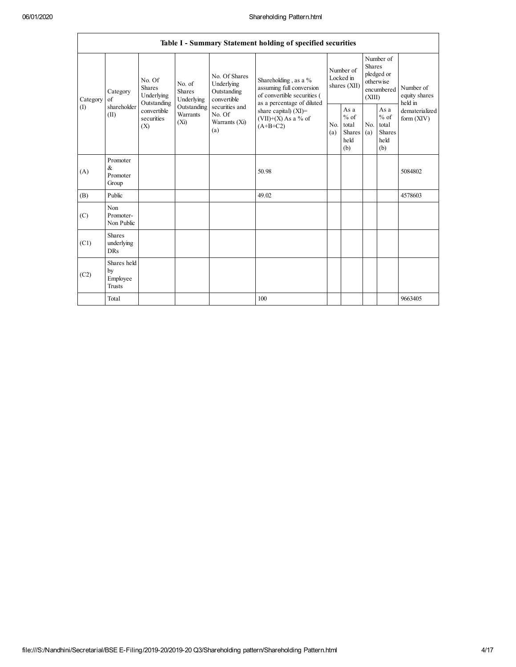| Table I - Summary Statement holding of specified securities |                                                |                                                                                                                                                                         |                                                  |                                                                |                                                                                                               |                                                  |                       |                                                                               |                                |                                       |
|-------------------------------------------------------------|------------------------------------------------|-------------------------------------------------------------------------------------------------------------------------------------------------------------------------|--------------------------------------------------|----------------------------------------------------------------|---------------------------------------------------------------------------------------------------------------|--------------------------------------------------|-----------------------|-------------------------------------------------------------------------------|--------------------------------|---------------------------------------|
| Category<br>(1)                                             | Category<br>$\sigma$ f<br>shareholder<br>(II)  | No. Of<br>No. of<br><b>Shares</b><br><b>Shares</b><br>Underlying<br>Underlying<br>Outstanding<br>Outstanding<br>convertible<br>Warrants<br>securities<br>$(X_i)$<br>(X) |                                                  | No. Of Shares<br>Underlying<br>Outstanding<br>convertible      | Shareholding, as a %<br>assuming full conversion<br>of convertible securities (<br>as a percentage of diluted | Number of<br>Locked in<br>shares (XII)           |                       | Number of<br><b>Shares</b><br>pledged or<br>otherwise<br>encumbered<br>(XIII) |                                | Number of<br>equity shares<br>held in |
|                                                             |                                                |                                                                                                                                                                         | securities and<br>No. Of<br>Warrants (Xi)<br>(a) | share capital) $(XI)$ =<br>$(VII)+(X)$ As a % of<br>$(A+B+C2)$ | N <sub>0</sub><br>(a)                                                                                         | As a<br>$%$ of<br>total<br>Shares<br>held<br>(b) | N <sub>0</sub><br>(a) | As a<br>$%$ of<br>total<br><b>Shares</b><br>held<br>(b)                       | dematerialized<br>form $(XIV)$ |                                       |
| (A)                                                         | Promoter<br>&<br>Promoter<br>Group             |                                                                                                                                                                         |                                                  |                                                                | 50.98                                                                                                         |                                                  |                       |                                                                               |                                | 5084802                               |
| (B)                                                         | Public                                         |                                                                                                                                                                         |                                                  |                                                                | 49.02                                                                                                         |                                                  |                       |                                                                               |                                | 4578603                               |
| (C)                                                         | Non<br>Promoter-<br>Non Public                 |                                                                                                                                                                         |                                                  |                                                                |                                                                                                               |                                                  |                       |                                                                               |                                |                                       |
| (C1)                                                        | <b>Shares</b><br>underlying<br><b>DRs</b>      |                                                                                                                                                                         |                                                  |                                                                |                                                                                                               |                                                  |                       |                                                                               |                                |                                       |
| (C2)                                                        | Shares held<br>by<br>Employee<br><b>Trusts</b> |                                                                                                                                                                         |                                                  |                                                                |                                                                                                               |                                                  |                       |                                                                               |                                |                                       |
|                                                             | Total                                          |                                                                                                                                                                         |                                                  |                                                                | 100                                                                                                           |                                                  |                       |                                                                               |                                | 9663405                               |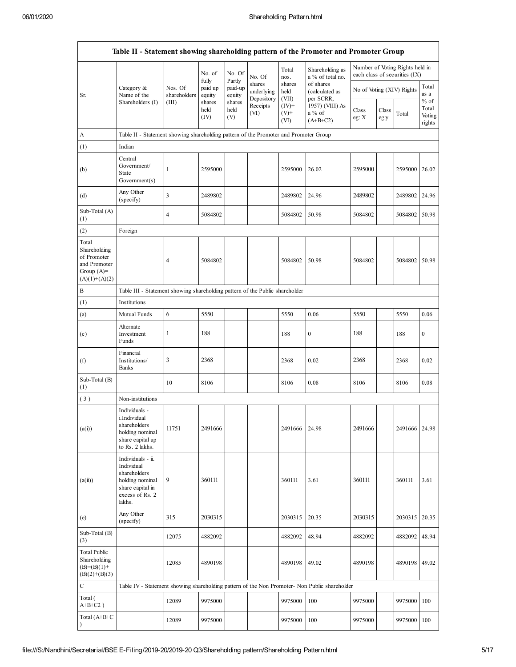|                                                                                         | Table II - Statement showing shareholding pattern of the Promoter and Promoter Group                                |                                  |                             |                             |                                    |                             |                                                                                               |                           |               |                                                                  |                           |
|-----------------------------------------------------------------------------------------|---------------------------------------------------------------------------------------------------------------------|----------------------------------|-----------------------------|-----------------------------|------------------------------------|-----------------------------|-----------------------------------------------------------------------------------------------|---------------------------|---------------|------------------------------------------------------------------|---------------------------|
|                                                                                         |                                                                                                                     |                                  | No. of<br>fully             | No. Of<br>Partly            | No. Of                             | Total<br>nos.               | Shareholding as<br>a % of total no.                                                           |                           |               | Number of Voting Rights held in<br>each class of securities (IX) |                           |
| Sr.                                                                                     | Category &<br>Name of the<br>Shareholders (I)                                                                       | Nos. Of<br>shareholders<br>(III) | paid up<br>equity<br>shares | paid-up<br>equity<br>shares | shares<br>underlying<br>Depository | shares<br>held<br>$(VII) =$ | of shares<br>(calculated as<br>per SCRR,                                                      | No of Voting (XIV) Rights |               |                                                                  | Total<br>as a<br>$%$ of   |
|                                                                                         |                                                                                                                     |                                  | held<br>(IV)                | held<br>(V)                 | Receipts<br>(VI)                   | $(IV)^+$<br>$(V) +$<br>(VI) | 1957) (VIII) As<br>a % of<br>$(A+B+C2)$                                                       | Class<br>eg: X            | Class<br>eg:y | Total                                                            | Total<br>Voting<br>rights |
| A                                                                                       | Table II - Statement showing shareholding pattern of the Promoter and Promoter Group                                |                                  |                             |                             |                                    |                             |                                                                                               |                           |               |                                                                  |                           |
| (1)                                                                                     | Indian                                                                                                              |                                  |                             |                             |                                    |                             |                                                                                               |                           |               |                                                                  |                           |
| (b)                                                                                     | Central<br>Government/<br>State<br>Government(s)                                                                    | $\mathbf{1}$                     | 2595000                     |                             |                                    | 2595000                     | 26.02                                                                                         | 2595000                   |               | 2595000 26.02                                                    |                           |
| (d)                                                                                     | Any Other<br>(specify)                                                                                              | $\mathfrak{Z}$                   | 2489802                     |                             |                                    | 2489802                     | 24.96                                                                                         | 2489802                   |               | 2489802 24.96                                                    |                           |
| Sub-Total (A)<br>(1)                                                                    |                                                                                                                     | $\overline{4}$                   | 5084802                     |                             |                                    | 5084802                     | 50.98                                                                                         | 5084802                   |               | 5084802 50.98                                                    |                           |
| (2)                                                                                     | Foreign                                                                                                             |                                  |                             |                             |                                    |                             |                                                                                               |                           |               |                                                                  |                           |
| Total<br>Shareholding<br>of Promoter<br>and Promoter<br>Group $(A)=$<br>$(A)(1)+(A)(2)$ |                                                                                                                     | $\overline{4}$                   | 5084802                     |                             |                                    | 5084802                     | 50.98                                                                                         | 5084802                   |               | 5084802 50.98                                                    |                           |
| B                                                                                       | Table III - Statement showing shareholding pattern of the Public shareholder                                        |                                  |                             |                             |                                    |                             |                                                                                               |                           |               |                                                                  |                           |
| (1)                                                                                     | Institutions                                                                                                        |                                  |                             |                             |                                    |                             |                                                                                               |                           |               |                                                                  |                           |
| (a)                                                                                     | Mutual Funds                                                                                                        | $\sqrt{6}$                       | 5550                        |                             |                                    | 5550                        | 0.06                                                                                          | 5550                      |               | 5550                                                             | 0.06                      |
| (c)                                                                                     | Alternate<br>Investment<br>Funds                                                                                    | 1                                | 188                         |                             |                                    | 188                         | $\boldsymbol{0}$                                                                              | 188                       |               | 188                                                              | 0                         |
| (f)                                                                                     | Financial<br>Institutions/<br>Banks                                                                                 | 3                                | 2368                        |                             |                                    | 2368                        | 0.02                                                                                          | 2368                      |               | 2368                                                             | 0.02                      |
| Sub-Total (B)<br>(1)                                                                    |                                                                                                                     | 10                               | 8106                        |                             |                                    | 8106                        | 0.08                                                                                          | 8106                      |               | 8106                                                             | 0.08                      |
| (3)                                                                                     | Non-institutions                                                                                                    |                                  |                             |                             |                                    |                             |                                                                                               |                           |               |                                                                  |                           |
| (a(i))                                                                                  | Individuals -<br>i.Individual<br>shareholders<br>holding nominal<br>share capital up<br>to Rs. 2 lakhs.             | 11751                            | 2491666                     |                             |                                    | 2491666                     | 24.98                                                                                         | 2491666                   |               | 2491666 24.98                                                    |                           |
| (a(ii))                                                                                 | Individuals - ii.<br>Individual<br>shareholders<br>holding nominal<br>share capital in<br>excess of Rs. 2<br>lakhs. | 9                                | 360111                      |                             |                                    | 360111                      | 3.61                                                                                          | 360111                    |               | 360111                                                           | 3.61                      |
| (e)                                                                                     | Any Other<br>(specify)                                                                                              | 315                              | 2030315                     |                             |                                    | 2030315                     | 20.35                                                                                         | 2030315                   |               | 2030315 20.35                                                    |                           |
| Sub-Total (B)<br>(3)                                                                    |                                                                                                                     | 12075                            | 4882092                     |                             |                                    | 4882092                     | 48.94                                                                                         | 4882092                   |               | 4882092                                                          | 48.94                     |
| <b>Total Public</b><br>Shareholding<br>$(B)=(B)(1)+$<br>$(B)(2)+(B)(3)$                 |                                                                                                                     | 12085                            | 4890198                     |                             |                                    | 4890198                     | 49.02                                                                                         | 4890198                   |               | 4890198 49.02                                                    |                           |
| C                                                                                       |                                                                                                                     |                                  |                             |                             |                                    |                             | Table IV - Statement showing shareholding pattern of the Non Promoter- Non Public shareholder |                           |               |                                                                  |                           |
| Total (<br>$A+B+C2$ )                                                                   |                                                                                                                     | 12089                            | 9975000                     |                             |                                    | 9975000                     | 100                                                                                           | 9975000                   |               | 9975000                                                          | 100                       |
| Total (A+B+C                                                                            |                                                                                                                     | 12089                            | 9975000                     |                             |                                    | 9975000                     | 100                                                                                           | 9975000                   |               | 9975000 100                                                      |                           |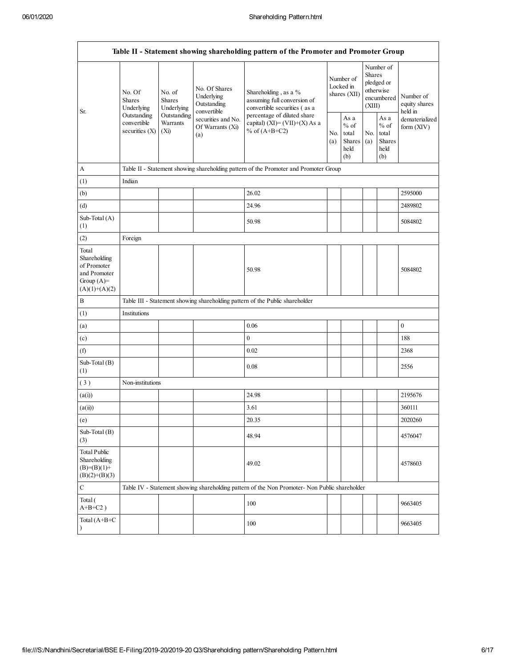| Table II - Statement showing shareholding pattern of the Promoter and Promoter Group    |                                                                                         |                                        |                                                           |                                                                                               |            |                                                   |            |                                                                               |                                       |
|-----------------------------------------------------------------------------------------|-----------------------------------------------------------------------------------------|----------------------------------------|-----------------------------------------------------------|-----------------------------------------------------------------------------------------------|------------|---------------------------------------------------|------------|-------------------------------------------------------------------------------|---------------------------------------|
| Sr.                                                                                     | No. Of<br><b>Shares</b><br>Underlying<br>Outstanding<br>convertible<br>securities $(X)$ | No. of<br><b>Shares</b><br>Underlying  | No. Of Shares<br>Underlying<br>Outstanding<br>convertible | Shareholding, as a %<br>assuming full conversion of<br>convertible securities (as a           |            | Number of<br>Locked in<br>shares (XII)            |            | Number of<br><b>Shares</b><br>pledged or<br>otherwise<br>encumbered<br>(XIII) | Number of<br>equity shares<br>held in |
|                                                                                         |                                                                                         | Outstanding<br>Warrants<br>(Xi)<br>(a) | securities and No.<br>Of Warrants (Xi)                    | percentage of diluted share<br>capital) $(XI) = (VII)+(X) As a$<br>% of $(A+B+C2)$            | No.<br>(a) | As a<br>$\%$ of<br>total<br>Shares<br>held<br>(b) | No.<br>(a) | As a<br>$%$ of<br>total<br><b>Shares</b><br>held<br>(b)                       | dematerialized<br>form $(XIV)$        |
| A                                                                                       |                                                                                         |                                        |                                                           | Table II - Statement showing shareholding pattern of the Promoter and Promoter Group          |            |                                                   |            |                                                                               |                                       |
| (1)                                                                                     | Indian                                                                                  |                                        |                                                           |                                                                                               |            |                                                   |            |                                                                               |                                       |
| (b)                                                                                     |                                                                                         |                                        |                                                           | 26.02                                                                                         |            |                                                   |            |                                                                               | 2595000                               |
| (d)                                                                                     |                                                                                         |                                        |                                                           | 24.96                                                                                         |            |                                                   |            |                                                                               | 2489802                               |
| Sub-Total (A)<br>(1)                                                                    |                                                                                         |                                        |                                                           | 50.98                                                                                         |            |                                                   |            |                                                                               | 5084802                               |
| (2)                                                                                     | Foreign                                                                                 |                                        |                                                           |                                                                                               |            |                                                   |            |                                                                               |                                       |
| Total<br>Shareholding<br>of Promoter<br>and Promoter<br>Group $(A)=$<br>$(A)(1)+(A)(2)$ |                                                                                         |                                        |                                                           | 50.98                                                                                         |            |                                                   |            |                                                                               | 5084802                               |
| B                                                                                       |                                                                                         |                                        |                                                           | Table III - Statement showing shareholding pattern of the Public shareholder                  |            |                                                   |            |                                                                               |                                       |
| (1)                                                                                     | Institutions                                                                            |                                        |                                                           |                                                                                               |            |                                                   |            |                                                                               |                                       |
| (a)                                                                                     |                                                                                         |                                        |                                                           | 0.06                                                                                          |            |                                                   |            |                                                                               | $\boldsymbol{0}$                      |
| (c)                                                                                     |                                                                                         |                                        |                                                           | $\boldsymbol{0}$                                                                              |            |                                                   |            |                                                                               | 188                                   |
| (f)                                                                                     |                                                                                         |                                        |                                                           | 0.02                                                                                          |            |                                                   |            |                                                                               | 2368                                  |
| Sub-Total (B)<br>(1)                                                                    |                                                                                         |                                        |                                                           | 0.08                                                                                          |            |                                                   |            |                                                                               | 2556                                  |
| (3)                                                                                     | Non-institutions                                                                        |                                        |                                                           |                                                                                               |            |                                                   |            |                                                                               |                                       |
| (a(i))                                                                                  |                                                                                         |                                        |                                                           | 24.98                                                                                         |            |                                                   |            |                                                                               | 2195676                               |
| (a(ii))                                                                                 |                                                                                         |                                        |                                                           | 3.61                                                                                          |            |                                                   |            |                                                                               | 360111                                |
| (e)                                                                                     |                                                                                         |                                        |                                                           | 20.35                                                                                         |            |                                                   |            |                                                                               | 2020260                               |
| Sub-Total (B)<br>(3)                                                                    |                                                                                         |                                        |                                                           | 48.94                                                                                         |            |                                                   |            |                                                                               | 4576047                               |
| <b>Total Public</b><br>Shareholding<br>$(B)=(B)(1)+$<br>$(B)(2)+(B)(3)$                 |                                                                                         |                                        |                                                           | 49.02                                                                                         |            |                                                   |            |                                                                               | 4578603                               |
| $\mathbf C$                                                                             |                                                                                         |                                        |                                                           | Table IV - Statement showing shareholding pattern of the Non Promoter- Non Public shareholder |            |                                                   |            |                                                                               |                                       |
| Total (<br>$A+B+C2$ )                                                                   |                                                                                         |                                        |                                                           | 100                                                                                           |            |                                                   |            |                                                                               | 9663405                               |
| Total (A+B+C                                                                            |                                                                                         |                                        |                                                           | 100                                                                                           |            |                                                   |            |                                                                               | 9663405                               |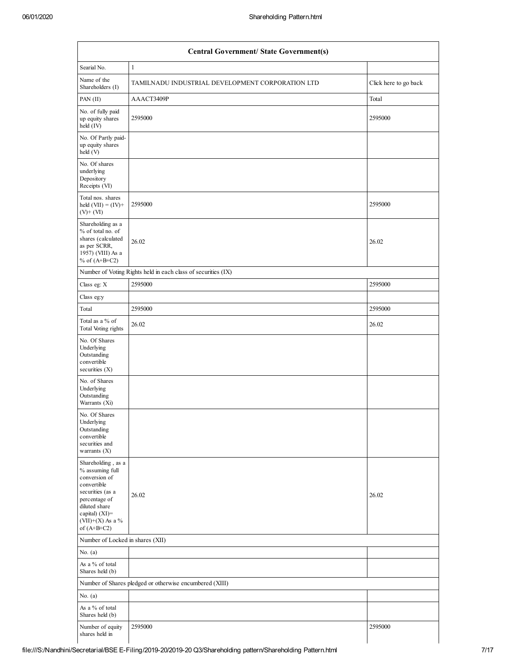|                                                                                                                                                                                         | <b>Central Government/ State Government(s)</b>                |                       |  |  |  |  |  |  |  |
|-----------------------------------------------------------------------------------------------------------------------------------------------------------------------------------------|---------------------------------------------------------------|-----------------------|--|--|--|--|--|--|--|
| Searial No.                                                                                                                                                                             | $\mathbf{1}$                                                  |                       |  |  |  |  |  |  |  |
| Name of the<br>Shareholders (I)                                                                                                                                                         | TAMILNADU INDUSTRIAL DEVELOPMENT CORPORATION LTD              | Click here to go back |  |  |  |  |  |  |  |
| PAN (II)                                                                                                                                                                                | AAACT3409P                                                    | Total                 |  |  |  |  |  |  |  |
| No. of fully paid<br>up equity shares<br>held (IV)                                                                                                                                      | 2595000                                                       | 2595000               |  |  |  |  |  |  |  |
| No. Of Partly paid-<br>up equity shares<br>held(V)                                                                                                                                      |                                                               |                       |  |  |  |  |  |  |  |
| No. Of shares<br>underlying<br>Depository<br>Receipts (VI)                                                                                                                              |                                                               |                       |  |  |  |  |  |  |  |
| Total nos. shares<br>held $(VII) = (IV) +$<br>$(V)$ + $(VI)$                                                                                                                            | 2595000                                                       | 2595000               |  |  |  |  |  |  |  |
| Shareholding as a<br>% of total no. of<br>shares (calculated<br>as per SCRR,<br>1957) (VIII) As a<br>% of $(A+B+C2)$                                                                    | 26.02                                                         | 26.02                 |  |  |  |  |  |  |  |
|                                                                                                                                                                                         | Number of Voting Rights held in each class of securities (IX) |                       |  |  |  |  |  |  |  |
| Class eg: X                                                                                                                                                                             | 2595000                                                       | 2595000               |  |  |  |  |  |  |  |
| Class eg:y                                                                                                                                                                              |                                                               |                       |  |  |  |  |  |  |  |
| Total                                                                                                                                                                                   | 2595000                                                       | 2595000               |  |  |  |  |  |  |  |
| Total as a % of<br>Total Voting rights                                                                                                                                                  | 26.02                                                         | 26.02                 |  |  |  |  |  |  |  |
| No. Of Shares<br>Underlying<br>Outstanding<br>convertible<br>securities (X)                                                                                                             |                                                               |                       |  |  |  |  |  |  |  |
| No. of Shares<br>Underlying<br>Outstanding<br>Warrants (Xi)                                                                                                                             |                                                               |                       |  |  |  |  |  |  |  |
| No. Of Shares<br>Underlying<br>Outstanding<br>convertible<br>securities and<br>warrants $(X)$                                                                                           |                                                               |                       |  |  |  |  |  |  |  |
| Shareholding, as a<br>% assuming full<br>conversion of<br>convertible<br>securities (as a<br>percentage of<br>diluted share<br>capital) $(XI)$ =<br>$(VII)+(X)$ As a %<br>of $(A+B+C2)$ | 26.02                                                         | 26.02                 |  |  |  |  |  |  |  |
| Number of Locked in shares (XII)                                                                                                                                                        |                                                               |                       |  |  |  |  |  |  |  |
| No. $(a)$                                                                                                                                                                               |                                                               |                       |  |  |  |  |  |  |  |
| As a % of total<br>Shares held (b)                                                                                                                                                      |                                                               |                       |  |  |  |  |  |  |  |
|                                                                                                                                                                                         | Number of Shares pledged or otherwise encumbered (XIII)       |                       |  |  |  |  |  |  |  |
| No. $(a)$                                                                                                                                                                               |                                                               |                       |  |  |  |  |  |  |  |
| As a % of total<br>Shares held (b)                                                                                                                                                      |                                                               |                       |  |  |  |  |  |  |  |
| Number of equity<br>shares held in                                                                                                                                                      | 2595000                                                       | 2595000               |  |  |  |  |  |  |  |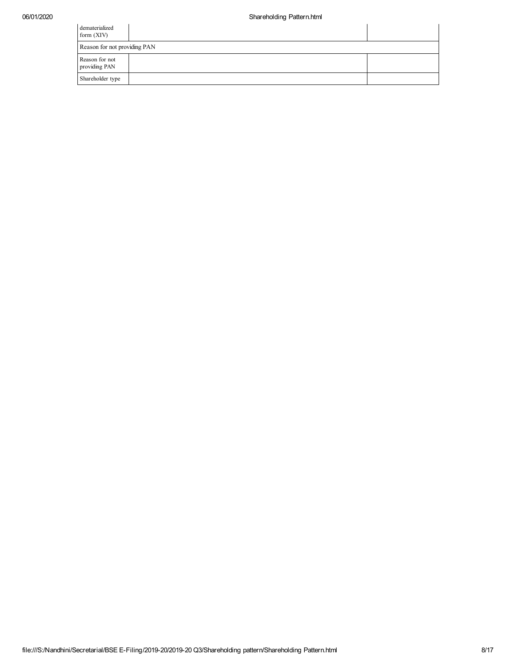| dematerialized<br>form $(XIV)$  |  |
|---------------------------------|--|
| Reason for not providing PAN    |  |
| Reason for not<br>providing PAN |  |
| Shareholder type                |  |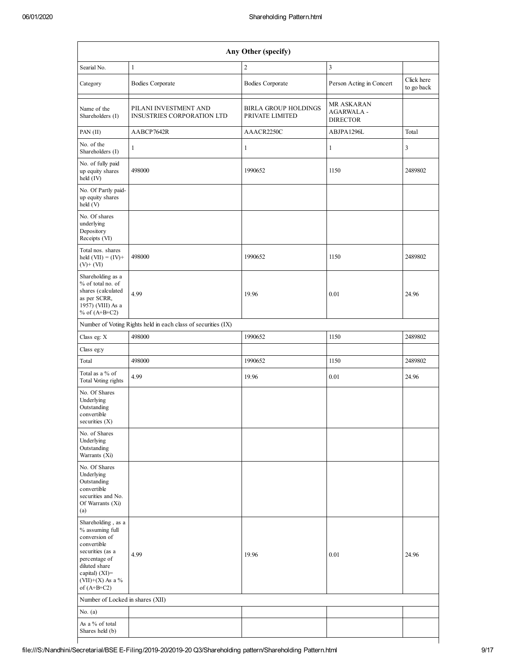|                                                                                                                                                                                      |                                                               | Any Other (specify)                            |                                                    |                          |
|--------------------------------------------------------------------------------------------------------------------------------------------------------------------------------------|---------------------------------------------------------------|------------------------------------------------|----------------------------------------------------|--------------------------|
| Searial No.                                                                                                                                                                          | $\mathbf{1}$                                                  | $\boldsymbol{2}$                               | 3                                                  |                          |
| Category                                                                                                                                                                             | <b>Bodies Corporate</b>                                       | <b>Bodies Corporate</b>                        | Person Acting in Concert                           | Click here<br>to go back |
| Name of the<br>Shareholders (I)                                                                                                                                                      | PILANI INVESTMENT AND<br>INSUSTRIES CORPORATION LTD           | <b>BIRLA GROUP HOLDINGS</b><br>PRIVATE LIMITED | MR ASKARAN<br><b>AGARWALA -</b><br><b>DIRECTOR</b> |                          |
| PAN (II)                                                                                                                                                                             | AABCP7642R                                                    | AAACR2250C                                     | ABJPA1296L                                         | Total                    |
| No. of the<br>Shareholders (I)                                                                                                                                                       | $\mathbf{1}$                                                  | $\mathbf{1}$                                   | $\mathbf{1}$                                       | 3                        |
| No. of fully paid<br>up equity shares<br>held (IV)                                                                                                                                   | 498000                                                        | 1990652                                        | 1150                                               | 2489802                  |
| No. Of Partly paid-<br>up equity shares<br>held (V)                                                                                                                                  |                                                               |                                                |                                                    |                          |
| No. Of shares<br>underlying<br>Depository<br>Receipts (VI)                                                                                                                           |                                                               |                                                |                                                    |                          |
| Total nos. shares<br>held $(VII) = (IV) +$<br>$(V)$ + $(VI)$                                                                                                                         | 498000                                                        | 1990652                                        | 1150                                               | 2489802                  |
| Shareholding as a<br>% of total no. of<br>shares (calculated<br>as per SCRR,<br>1957) (VIII) As a<br>% of $(A+B+C2)$                                                                 | 4.99                                                          | 19.96                                          | 0.01                                               | 24.96                    |
|                                                                                                                                                                                      | Number of Voting Rights held in each class of securities (IX) |                                                |                                                    |                          |
| Class eg: X                                                                                                                                                                          | 498000                                                        | 1990652                                        | 1150                                               | 2489802                  |
| Class eg:y                                                                                                                                                                           |                                                               |                                                |                                                    |                          |
| Total                                                                                                                                                                                | 498000                                                        | 1990652                                        | 1150                                               | 2489802                  |
| Total as a % of<br>Total Voting rights                                                                                                                                               | 4.99                                                          | 19.96                                          | 0.01                                               | 24.96                    |
| No. Of Shares<br>Underlying<br>Outstanding<br>convertible<br>securities (X)                                                                                                          |                                                               |                                                |                                                    |                          |
| No. of Shares<br>Underlying<br>Outstanding<br>Warrants (Xi)                                                                                                                          |                                                               |                                                |                                                    |                          |
| No. Of Shares<br>Underlying<br>Outstanding<br>convertible<br>securities and No.<br>Of Warrants (Xi)<br>(a)                                                                           |                                                               |                                                |                                                    |                          |
| Shareholding, as a<br>% assuming full<br>conversion of<br>convertible<br>securities (as a<br>percentage of<br>diluted share<br>capital) (XI)=<br>$(VII)+(X)$ As a %<br>of $(A+B+C2)$ | 4.99                                                          | 19.96                                          | 0.01                                               | 24.96                    |
| Number of Locked in shares (XII)                                                                                                                                                     |                                                               |                                                |                                                    |                          |
| No. $(a)$                                                                                                                                                                            |                                                               |                                                |                                                    |                          |
| As a % of total<br>Shares held (b)                                                                                                                                                   |                                                               |                                                |                                                    |                          |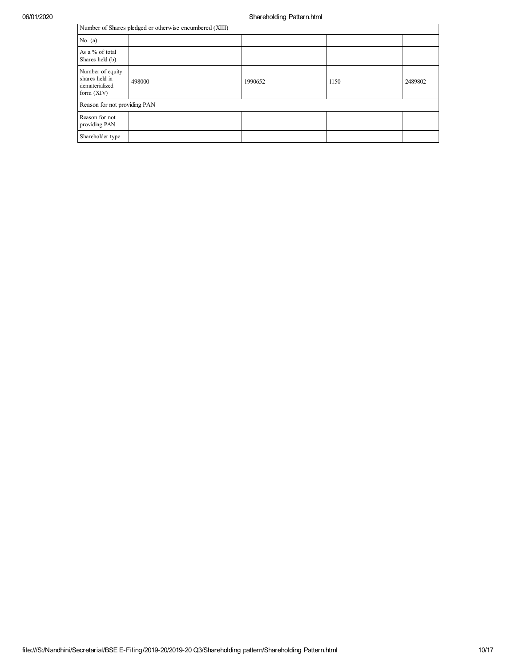| Number of Shares pledged or otherwise encumbered (XIII)              |        |         |      |         |  |  |  |  |  |
|----------------------------------------------------------------------|--------|---------|------|---------|--|--|--|--|--|
| No. $(a)$                                                            |        |         |      |         |  |  |  |  |  |
| As a % of total<br>Shares held (b)                                   |        |         |      |         |  |  |  |  |  |
| Number of equity<br>shares held in<br>dematerialized<br>form $(XIV)$ | 498000 | 1990652 | 1150 | 2489802 |  |  |  |  |  |
| Reason for not providing PAN                                         |        |         |      |         |  |  |  |  |  |
| Reason for not<br>providing PAN                                      |        |         |      |         |  |  |  |  |  |
| Shareholder type                                                     |        |         |      |         |  |  |  |  |  |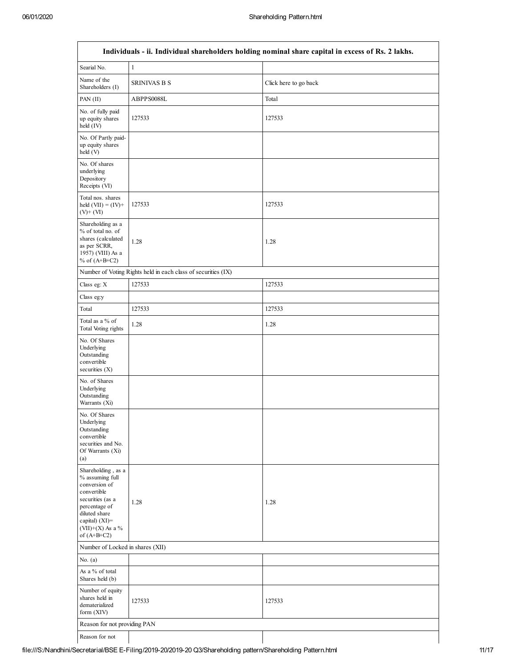$\lceil$ 

┐

|                                                                                                                                                                                       |                                                               | Individuals - ii. Individual shareholders holding nominal share capital in excess of Rs. 2 lakhs. |
|---------------------------------------------------------------------------------------------------------------------------------------------------------------------------------------|---------------------------------------------------------------|---------------------------------------------------------------------------------------------------|
| Searial No.                                                                                                                                                                           | $\mathbf{1}$                                                  |                                                                                                   |
| Name of the<br>Shareholders (I)                                                                                                                                                       | <b>SRINIVAS B S</b>                                           | Click here to go back                                                                             |
| PAN (II)                                                                                                                                                                              | ABPPS0088L                                                    | Total                                                                                             |
| No. of fully paid<br>up equity shares<br>held (IV)                                                                                                                                    | 127533                                                        | 127533                                                                                            |
| No. Of Partly paid-<br>up equity shares<br>held (V)                                                                                                                                   |                                                               |                                                                                                   |
| No. Of shares<br>underlying<br>Depository<br>Receipts (VI)                                                                                                                            |                                                               |                                                                                                   |
| Total nos. shares<br>held $(VII) = (IV) +$<br>$(V)+(VI)$                                                                                                                              | 127533                                                        | 127533                                                                                            |
| Shareholding as a<br>% of total no. of<br>shares (calculated<br>as per SCRR,<br>1957) (VIII) As a<br>% of $(A+B+C2)$                                                                  | 1.28                                                          | 1.28                                                                                              |
|                                                                                                                                                                                       | Number of Voting Rights held in each class of securities (IX) |                                                                                                   |
| Class eg: X                                                                                                                                                                           | 127533                                                        | 127533                                                                                            |
| Class eg:y                                                                                                                                                                            |                                                               |                                                                                                   |
| Total                                                                                                                                                                                 | 127533                                                        | 127533                                                                                            |
| Total as a % of<br>Total Voting rights                                                                                                                                                | 1.28                                                          | 1.28                                                                                              |
| No. Of Shares<br>Underlying<br>Outstanding<br>convertible<br>securities $(X)$                                                                                                         |                                                               |                                                                                                   |
| No. of Shares<br>Underlying<br>Outstanding<br>Warrants (Xi)                                                                                                                           |                                                               |                                                                                                   |
| No. Of Shares<br>Underlying<br>Outstanding<br>convertible<br>securities and No.<br>Of Warrants (Xi)<br>(a)                                                                            |                                                               |                                                                                                   |
| Shareholding, as a<br>% assuming full<br>conversion of<br>convertible<br>securities (as a<br>percentage of<br>diluted share<br>capital) $(XI)$ =<br>(VII)+(X) As a %<br>of $(A+B+C2)$ | 1.28                                                          | 1.28                                                                                              |
| Number of Locked in shares (XII)                                                                                                                                                      |                                                               |                                                                                                   |
| No. $(a)$                                                                                                                                                                             |                                                               |                                                                                                   |
| As a % of total<br>Shares held (b)                                                                                                                                                    |                                                               |                                                                                                   |
| Number of equity<br>shares held in<br>dematerialized<br>form (XIV)                                                                                                                    | 127533                                                        | 127533                                                                                            |
| Reason for not providing PAN                                                                                                                                                          |                                                               |                                                                                                   |
| Reason for not                                                                                                                                                                        |                                                               |                                                                                                   |

# **Individuals - ii. Individual shareholders holding nominal share capital in excess of Rs. 2 lakhs.**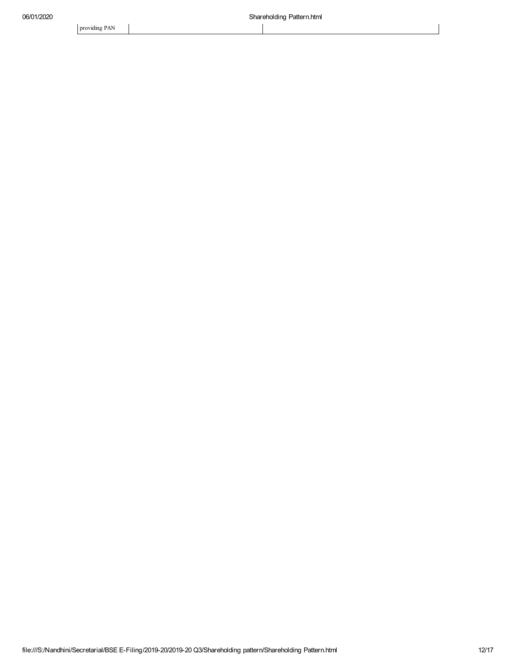providing PAN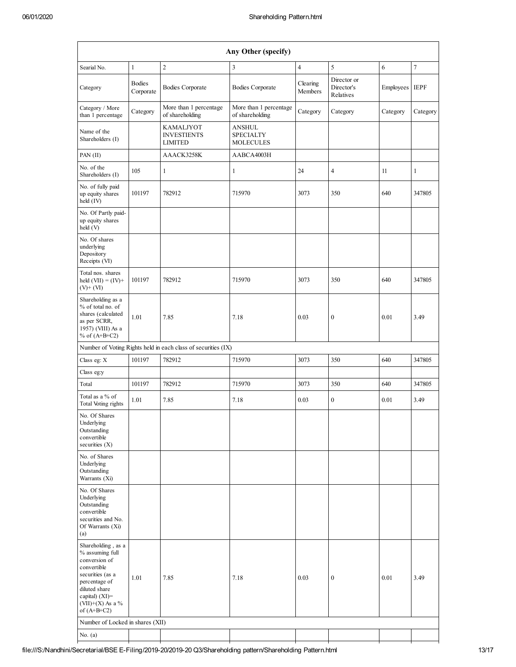| Any Other (specify)                                                                                                                                                                     |                            |                                                               |                                                |                     |                                        |                |                |  |  |
|-----------------------------------------------------------------------------------------------------------------------------------------------------------------------------------------|----------------------------|---------------------------------------------------------------|------------------------------------------------|---------------------|----------------------------------------|----------------|----------------|--|--|
| Searial No.                                                                                                                                                                             | $\mathbf{1}$               | $\overline{2}$                                                | 3                                              | $\overline{4}$      | 5                                      | 6              | $\overline{7}$ |  |  |
| Category                                                                                                                                                                                | <b>Bodies</b><br>Corporate | <b>Bodies Corporate</b>                                       | <b>Bodies Corporate</b>                        | Clearing<br>Members | Director or<br>Director's<br>Relatives | Employees IEPF |                |  |  |
| Category / More<br>than 1 percentage                                                                                                                                                    | Category                   | More than 1 percentage<br>of shareholding                     | More than 1 percentage<br>of shareholding      | Category            | Category                               | Category       | Category       |  |  |
| Name of the<br>Shareholders (I)                                                                                                                                                         |                            | KAMALJYOT<br><b>INVESTIENTS</b><br><b>LIMITED</b>             | ANSHUL<br><b>SPECIALTY</b><br><b>MOLECULES</b> |                     |                                        |                |                |  |  |
| PAN(II)                                                                                                                                                                                 |                            | AAACK3258K                                                    | AABCA4003H                                     |                     |                                        |                |                |  |  |
| No. of the<br>Shareholders (I)                                                                                                                                                          | 105                        | $\mathbf{1}$                                                  | $\mathbf{1}$                                   | 24                  | $\overline{4}$                         | 11             | $\mathbf{1}$   |  |  |
| No. of fully paid<br>up equity shares<br>held (IV)                                                                                                                                      | 101197                     | 782912                                                        | 715970                                         | 3073                | 350                                    | 640            | 347805         |  |  |
| No. Of Partly paid-<br>up equity shares<br>held (V)                                                                                                                                     |                            |                                                               |                                                |                     |                                        |                |                |  |  |
| No. Of shares<br>underlying<br>Depository<br>Receipts (VI)                                                                                                                              |                            |                                                               |                                                |                     |                                        |                |                |  |  |
| Total nos. shares<br>held $(VII) = (IV) +$<br>$(V)+(VI)$                                                                                                                                | 101197                     | 782912                                                        | 715970                                         | 3073                | 350                                    | 640            | 347805         |  |  |
| Shareholding as a<br>% of total no. of<br>shares (calculated<br>as per SCRR,<br>1957) (VIII) As a<br>% of $(A+B+C2)$                                                                    | 1.01                       | 7.85                                                          | 7.18                                           | 0.03                | $\boldsymbol{0}$                       | 0.01           | 3.49           |  |  |
|                                                                                                                                                                                         |                            | Number of Voting Rights held in each class of securities (IX) |                                                |                     |                                        |                |                |  |  |
| Class eg: X                                                                                                                                                                             | 101197                     | 782912                                                        | 715970                                         | 3073                | 350                                    | 640            | 347805         |  |  |
| Class eg:y                                                                                                                                                                              |                            |                                                               |                                                |                     |                                        |                |                |  |  |
| Total                                                                                                                                                                                   | 101197                     | 782912                                                        | 715970                                         | 3073                | 350                                    | 640            | 347805         |  |  |
| Total as a % of<br>Total Voting rights                                                                                                                                                  | 1.01                       | 7.85                                                          | 7.18                                           | 0.03                | $\boldsymbol{0}$                       | 0.01           | 3.49           |  |  |
| No. Of Shares<br>Underlying<br>Outstanding<br>convertible<br>securities $(X)$                                                                                                           |                            |                                                               |                                                |                     |                                        |                |                |  |  |
| No. of Shares<br>Underlying<br>Outstanding<br>Warrants (Xi)                                                                                                                             |                            |                                                               |                                                |                     |                                        |                |                |  |  |
| No. Of Shares<br>Underlying<br>Outstanding<br>convertible<br>securities and No.<br>Of Warrants (Xi)<br>(a)                                                                              |                            |                                                               |                                                |                     |                                        |                |                |  |  |
| Shareholding, as a<br>% assuming full<br>conversion of<br>convertible<br>securities (as a<br>percentage of<br>diluted share<br>capital) $(XI)$ =<br>$(VII)+(X)$ As a %<br>of $(A+B+C2)$ | 1.01                       | 7.85                                                          | 7.18                                           | 0.03                | $\boldsymbol{0}$                       | 0.01           | 3.49           |  |  |
| Number of Locked in shares (XII)                                                                                                                                                        |                            |                                                               |                                                |                     |                                        |                |                |  |  |
| No. $(a)$                                                                                                                                                                               |                            |                                                               |                                                |                     |                                        |                |                |  |  |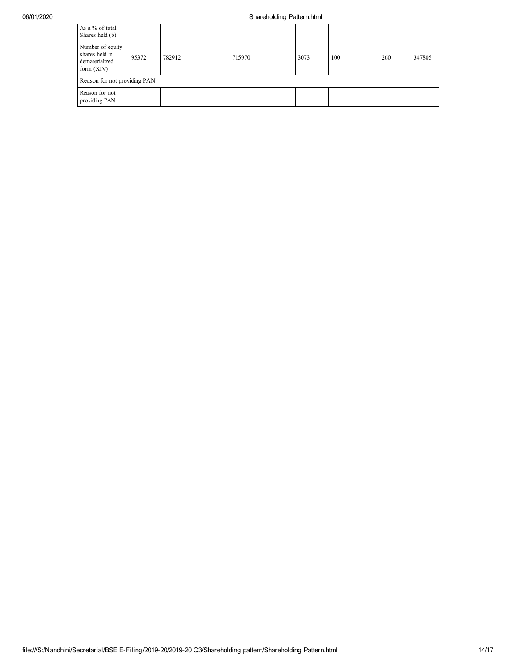## 06/01/2020 **Shareholding Pattern.html**

| As a % of total<br>Shares held (b)                                   |       |        |        |      |     |     |        |  |  |  |
|----------------------------------------------------------------------|-------|--------|--------|------|-----|-----|--------|--|--|--|
| Number of equity<br>shares held in<br>dematerialized<br>form $(XIV)$ | 95372 | 782912 | 715970 | 3073 | 100 | 260 | 347805 |  |  |  |
| Reason for not providing PAN                                         |       |        |        |      |     |     |        |  |  |  |
| Reason for not<br>providing PAN                                      |       |        |        |      |     |     |        |  |  |  |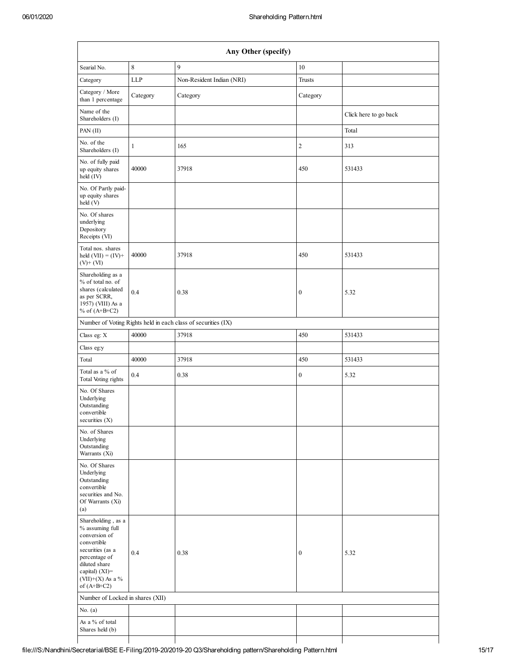| Any Other (specify)                                                                                                                                                                     |              |                                                               |                  |                       |  |  |  |  |  |  |  |
|-----------------------------------------------------------------------------------------------------------------------------------------------------------------------------------------|--------------|---------------------------------------------------------------|------------------|-----------------------|--|--|--|--|--|--|--|
| Searial No.                                                                                                                                                                             | 8            | 9                                                             | 10               |                       |  |  |  |  |  |  |  |
| Category                                                                                                                                                                                | LLP          | Non-Resident Indian (NRI)                                     | <b>Trusts</b>    |                       |  |  |  |  |  |  |  |
| Category / More<br>than 1 percentage                                                                                                                                                    | Category     | Category                                                      | Category         |                       |  |  |  |  |  |  |  |
| Name of the<br>Shareholders (I)                                                                                                                                                         |              |                                                               |                  | Click here to go back |  |  |  |  |  |  |  |
| PAN (II)                                                                                                                                                                                |              |                                                               |                  | Total                 |  |  |  |  |  |  |  |
| No. of the<br>Shareholders (I)                                                                                                                                                          | $\mathbf{1}$ | 165                                                           | $\sqrt{2}$       | 313                   |  |  |  |  |  |  |  |
| No. of fully paid<br>up equity shares<br>held (IV)                                                                                                                                      | 40000        | 37918                                                         | 450              | 531433                |  |  |  |  |  |  |  |
| No. Of Partly paid-<br>up equity shares<br>held(V)                                                                                                                                      |              |                                                               |                  |                       |  |  |  |  |  |  |  |
| No. Of shares<br>underlying<br>Depository<br>Receipts (VI)                                                                                                                              |              |                                                               |                  |                       |  |  |  |  |  |  |  |
| Total nos. shares<br>held $(VII) = (IV) +$<br>$(V)$ + $(VI)$                                                                                                                            | 40000        | 37918                                                         | 450              | 531433                |  |  |  |  |  |  |  |
| Shareholding as a<br>% of total no. of<br>shares (calculated<br>as per SCRR,<br>1957) (VIII) As a<br>% of $(A+B+C2)$                                                                    | 0.4          | 0.38                                                          | $\boldsymbol{0}$ | 5.32                  |  |  |  |  |  |  |  |
|                                                                                                                                                                                         |              | Number of Voting Rights held in each class of securities (IX) |                  |                       |  |  |  |  |  |  |  |
| Class eg: X                                                                                                                                                                             | 40000        | 37918                                                         | 450              | 531433                |  |  |  |  |  |  |  |
| Class eg:y                                                                                                                                                                              |              |                                                               |                  |                       |  |  |  |  |  |  |  |
| Total                                                                                                                                                                                   | 40000        | 37918                                                         | 450              | 531433                |  |  |  |  |  |  |  |
| Total as a % of<br>Total Voting rights                                                                                                                                                  | 0.4          | 0.38                                                          | $\boldsymbol{0}$ | 5.32                  |  |  |  |  |  |  |  |
| No. Of Shares<br>Underlying<br>Outstanding<br>convertible<br>securities (X)                                                                                                             |              |                                                               |                  |                       |  |  |  |  |  |  |  |
| No. of Shares<br>Underlying<br>Outstanding<br>Warrants (Xi)                                                                                                                             |              |                                                               |                  |                       |  |  |  |  |  |  |  |
| No. Of Shares<br>Underlying<br>Outstanding<br>convertible<br>securities and No.<br>Of Warrants (Xi)<br>(a)                                                                              |              |                                                               |                  |                       |  |  |  |  |  |  |  |
| Shareholding, as a<br>% assuming full<br>conversion of<br>convertible<br>securities (as a<br>percentage of<br>diluted share<br>capital) $(XI)$ =<br>$(VII)+(X)$ As a %<br>of $(A+B+C2)$ | 0.4          | 0.38                                                          | $\boldsymbol{0}$ | 5.32                  |  |  |  |  |  |  |  |
| Number of Locked in shares (XII)                                                                                                                                                        |              |                                                               |                  |                       |  |  |  |  |  |  |  |
| No. $(a)$                                                                                                                                                                               |              |                                                               |                  |                       |  |  |  |  |  |  |  |
| As a % of total<br>Shares held (b)                                                                                                                                                      |              |                                                               |                  |                       |  |  |  |  |  |  |  |
|                                                                                                                                                                                         |              |                                                               |                  |                       |  |  |  |  |  |  |  |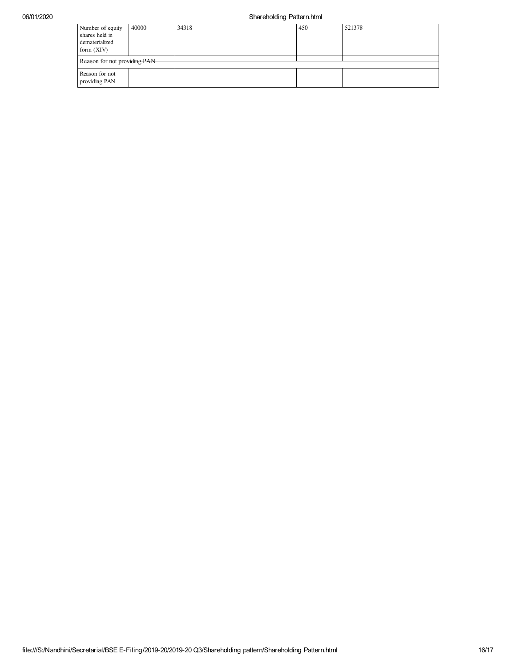### 06/01/2020 Shareholding Pattern.html

| Number of equity<br>shares held in<br>dematerialized<br>form $(XIV)$ | 40000 | 34318 | 450 | 521378 |
|----------------------------------------------------------------------|-------|-------|-----|--------|
| Reason for not providing PAN                                         |       |       |     |        |
| Reason for not<br>providing PAN                                      |       |       |     |        |